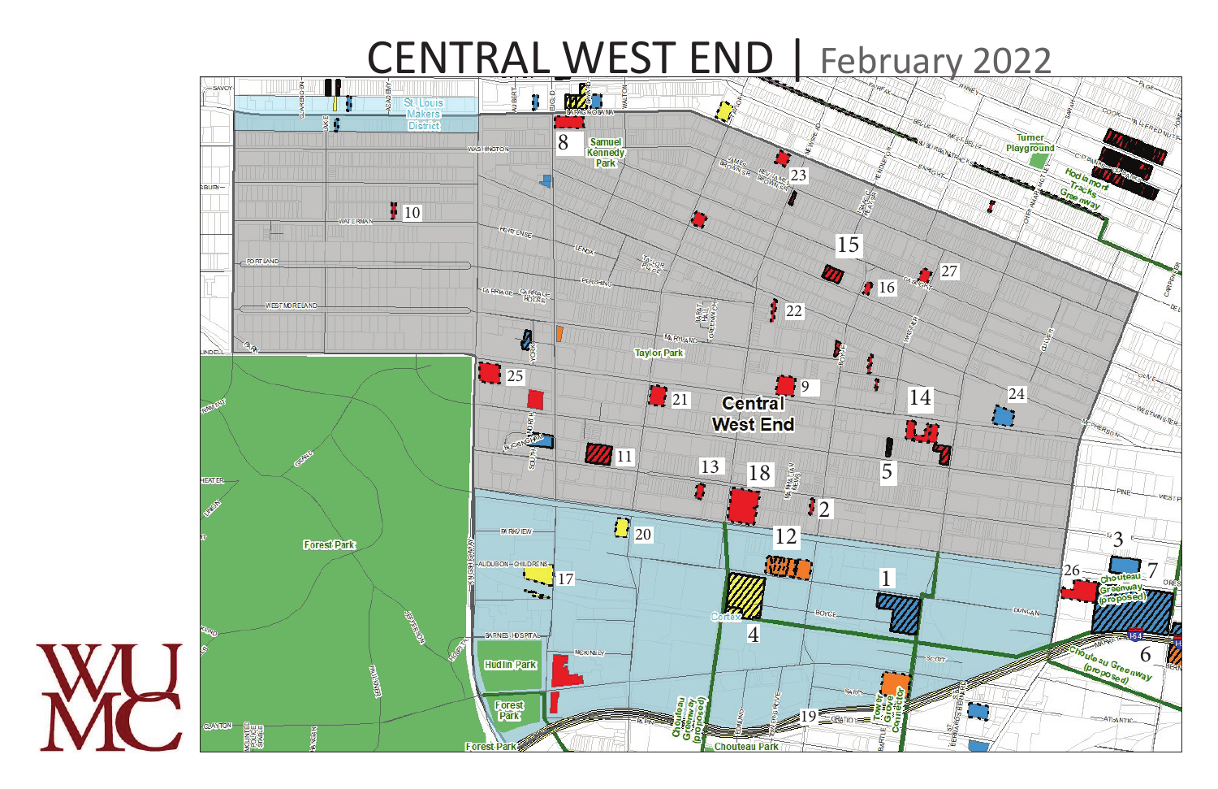